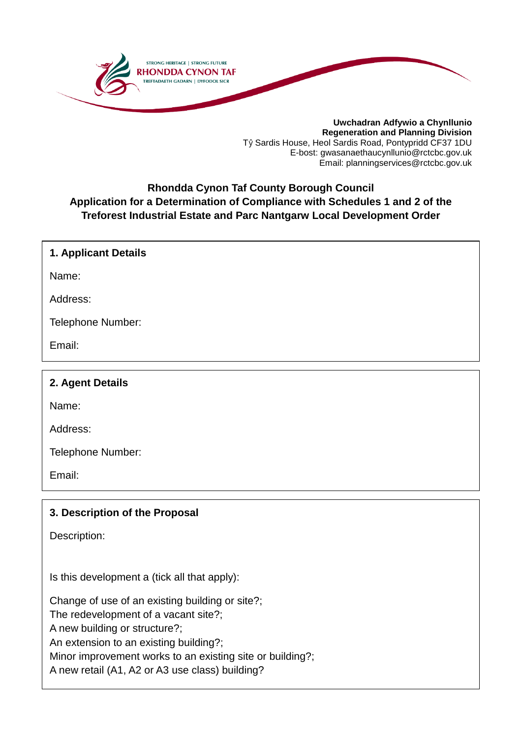

**Uwchadran Adfywio a Chynllunio Regeneration and Planning Division** Tŷ Sardis House, Heol Sardis Road, Pontypridd CF37 1DU E-bost: gwasanaethaucynllunio@rctcbc.gov.uk Email: planningservices@rctcbc.gov.uk

### **Rhondda Cynon Taf County Borough Council Application for a Determination of Compliance with Schedules 1 and 2 of the Treforest Industrial Estate and Parc Nantgarw Local Development Order**

### **1. Applicant Details**

Name:

Address:

Telephone Number:

Email:

### **2. Agent Details**

Name:

Address:

Telephone Number:

Email:

### **3. Description of the Proposal**

Description:

Is this development a (tick all that apply):

Change of use of an existing building or site?; The redevelopment of a vacant site?; A new building or structure?;

An extension to an existing building?;

Minor improvement works to an existing site or building?;

A new retail (A1, A2 or A3 use class) building?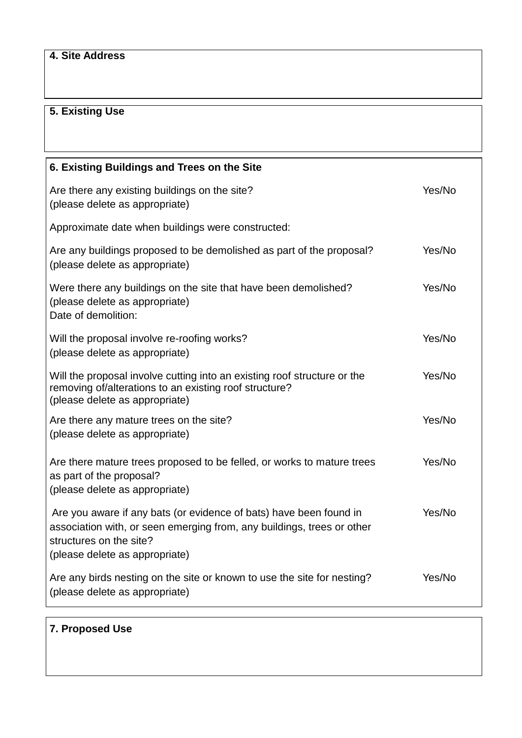### **4. Site Address**

## **5. Existing Use**

| 6. Existing Buildings and Trees on the Site                                                                                                                                                               |        |
|-----------------------------------------------------------------------------------------------------------------------------------------------------------------------------------------------------------|--------|
| Are there any existing buildings on the site?<br>(please delete as appropriate)                                                                                                                           | Yes/No |
| Approximate date when buildings were constructed:                                                                                                                                                         |        |
| Are any buildings proposed to be demolished as part of the proposal?<br>(please delete as appropriate)                                                                                                    | Yes/No |
| Were there any buildings on the site that have been demolished?<br>(please delete as appropriate)<br>Date of demolition:                                                                                  | Yes/No |
| Will the proposal involve re-roofing works?<br>(please delete as appropriate)                                                                                                                             | Yes/No |
| Will the proposal involve cutting into an existing roof structure or the<br>removing of/alterations to an existing roof structure?<br>(please delete as appropriate)                                      | Yes/No |
| Are there any mature trees on the site?<br>(please delete as appropriate)                                                                                                                                 | Yes/No |
| Are there mature trees proposed to be felled, or works to mature trees<br>as part of the proposal?<br>(please delete as appropriate)                                                                      | Yes/No |
| Are you aware if any bats (or evidence of bats) have been found in<br>association with, or seen emerging from, any buildings, trees or other<br>structures on the site?<br>(please delete as appropriate) | Yes/No |
| Are any birds nesting on the site or known to use the site for nesting?<br>(please delete as appropriate)                                                                                                 | Yes/No |

## **7. Proposed Use**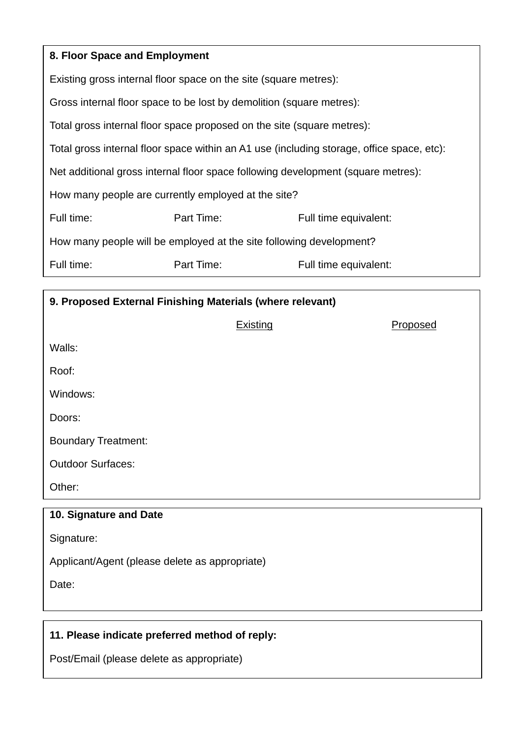| 8. Floor Space and Employment                                                             |            |                       |  |  |
|-------------------------------------------------------------------------------------------|------------|-----------------------|--|--|
| Existing gross internal floor space on the site (square metres):                          |            |                       |  |  |
| Gross internal floor space to be lost by demolition (square metres):                      |            |                       |  |  |
| Total gross internal floor space proposed on the site (square metres):                    |            |                       |  |  |
| Total gross internal floor space within an A1 use (including storage, office space, etc): |            |                       |  |  |
| Net additional gross internal floor space following development (square metres):          |            |                       |  |  |
| How many people are currently employed at the site?                                       |            |                       |  |  |
| Full time:                                                                                | Part Time: | Full time equivalent: |  |  |
| How many people will be employed at the site following development?                       |            |                       |  |  |
| Full time:                                                                                | Part Time: | Full time equivalent: |  |  |

| 9. Proposed External Finishing Materials (where relevant) |                 |                 |  |
|-----------------------------------------------------------|-----------------|-----------------|--|
|                                                           | <b>Existing</b> | <b>Proposed</b> |  |
| Walls:                                                    |                 |                 |  |
| Roof:                                                     |                 |                 |  |
| Windows:                                                  |                 |                 |  |
| Doors:                                                    |                 |                 |  |
| <b>Boundary Treatment:</b>                                |                 |                 |  |
| <b>Outdoor Surfaces:</b>                                  |                 |                 |  |
| Other:                                                    |                 |                 |  |
| 10. Signature and Date                                    |                 |                 |  |
| Signature:                                                |                 |                 |  |
| Applicant/Agent (please delete as appropriate)            |                 |                 |  |
| Date:                                                     |                 |                 |  |

# **11. Please indicate preferred method of reply:**

Post/Email (please delete as appropriate)